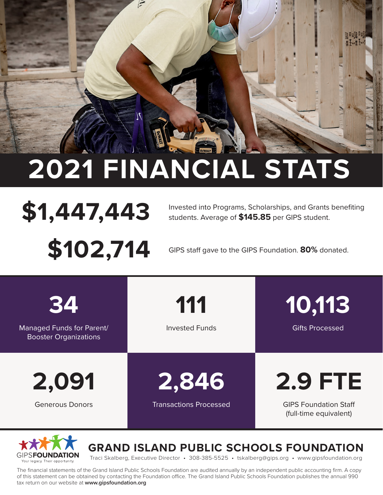

# **2021 FINANCIAL STATS**

**\$102,714** GIPS staff gave to the GIPS Foundation. **80%** donated.

\$1,447,443 Invested into Programs, Scholarships, and Grants benefiting<br>students. Average of \$145.85 per GIPS student. students. Average of **\$145.85** per GIPS student.

**34** Managed Funds for Parent/ Booster Organizations

**111** Invested Funds **10,113**

Gifts Processed

**2,091**

Generous Donors

**2,846**

Transactions Processed

**2.9 FTE**

GIPS Foundation Staff (full-time equivalent)



# **GRAND ISLAND PUBLIC SCHOOLS FOUNDATION**

Traci Skalberg, Executive Director • 308-385-5525 • tskalberg@gips.org • www.gipsfoundation.org

The financial statements of the Grand Island Public Schools Foundation are audited annually by an independent public accounting firm. A copy of this statement can be obtained by contacting the Foundation office. The Grand Island Public Schools Foundation publishes the annual 990 tax return on our website at **www.gipsfoundation.org**